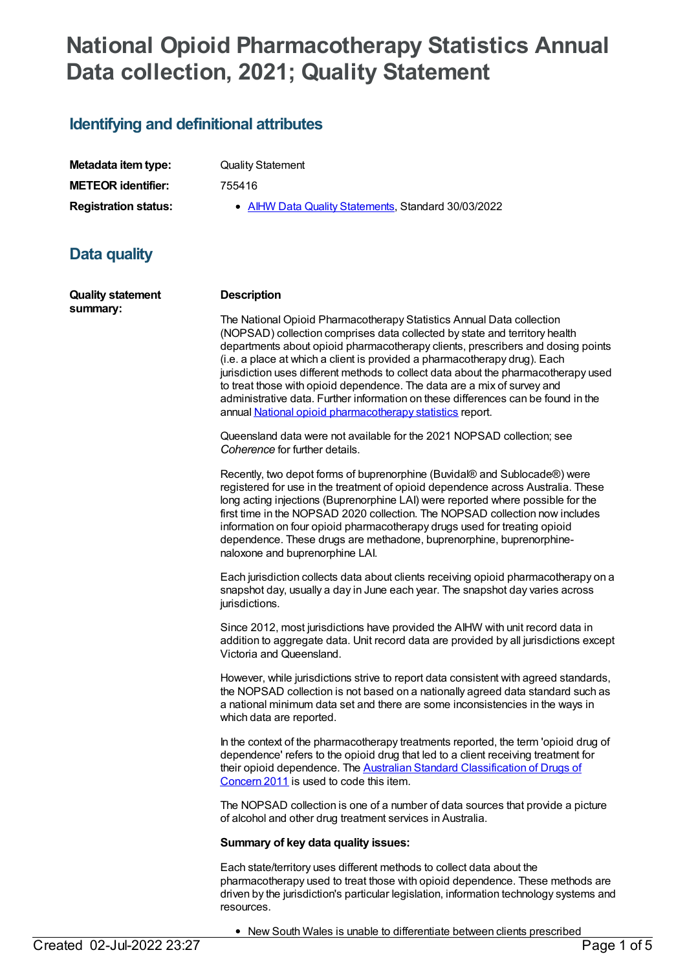# **National Opioid Pharmacotherapy Statistics Annual Data collection, 2021; Quality Statement**

### **Identifying and definitional attributes**

**Metadata item type:** Quality Statement **METEOR identifier:** 755416

**Registration status:** • AIHW Data Quality [Statements](https://meteor.aihw.gov.au/RegistrationAuthority/5), Standard 30/03/2022

## **Data quality**

**Quality statement summary: Description** The National Opioid Pharmacotherapy Statistics Annual Data collection (NOPSAD) collection comprises data collected by state and territory health departments about opioid pharmacotherapy clients, prescribers and dosing points (i.e. a place at which a client is provided a pharmacotherapy drug). Each jurisdiction uses different methods to collect data about the pharmacotherapy used to treat those with opioid dependence. The data are a mix of survey and administrative data. Further information on these differences can be found in the annual National opioid [pharmacotherapy](https://www.aihw.gov.au/reports/alcohol-other-drug-treatment-services/national-opioid-pharmacotherapy-statistics-2019/contents/introduction) statistics report. Queensland data were not available for the 2021 NOPSAD collection; see *Coherence* for further details. Recently, two depot forms of buprenorphine (Buvidal® and Sublocade®) were registered for use in the treatment of opioid dependence across Australia. These long acting injections (Buprenorphine LAI) were reported where possible for the first time in the NOPSAD 2020 collection. The NOPSAD collection now includes information on four opioid pharmacotherapy drugs used for treating opioid dependence. These drugs are methadone, buprenorphine, buprenorphinenaloxone and buprenorphine LAI. Each jurisdiction collects data about clients receiving opioid pharmacotherapy on a snapshot day, usually a day in June each year. The snapshot day varies across jurisdictions. Since 2012, most jurisdictions have provided the AIHW with unit record data in addition to aggregate data. Unit record data are provided by all jurisdictions except Victoria and Queensland. However, while jurisdictions strive to report data consistent with agreed standards, the NOPSAD collection is not based on a nationally agreed data standard such as a national minimum data set and there are some inconsistencies in the ways in which data are reported. In the context of the pharmacotherapy treatments reported, the term 'opioid drug of dependence' refers to the opioid drug that led to a client receiving treatment for their opioid dependence. The **Australian Standard [Classification](http://www.abs.gov.au/AUSSTATS/abs@.nsf/Lookup/1248.0Main+Features12011?OpenDocument) of Drugs of** Concern 2011 is used to code this item. The NOPSAD collection is one of a number of data sources that provide a picture of alcohol and other drug treatment services in Australia. **Summary of key data quality issues:** Each state/territory uses different methods to collect data about the pharmacotherapy used to treat those with opioid dependence. These methods are driven by the jurisdiction's particular legislation, information technology systems and

• New South Wales is unable to differentiate between clients prescribed<br>Page 1 of 5

resources.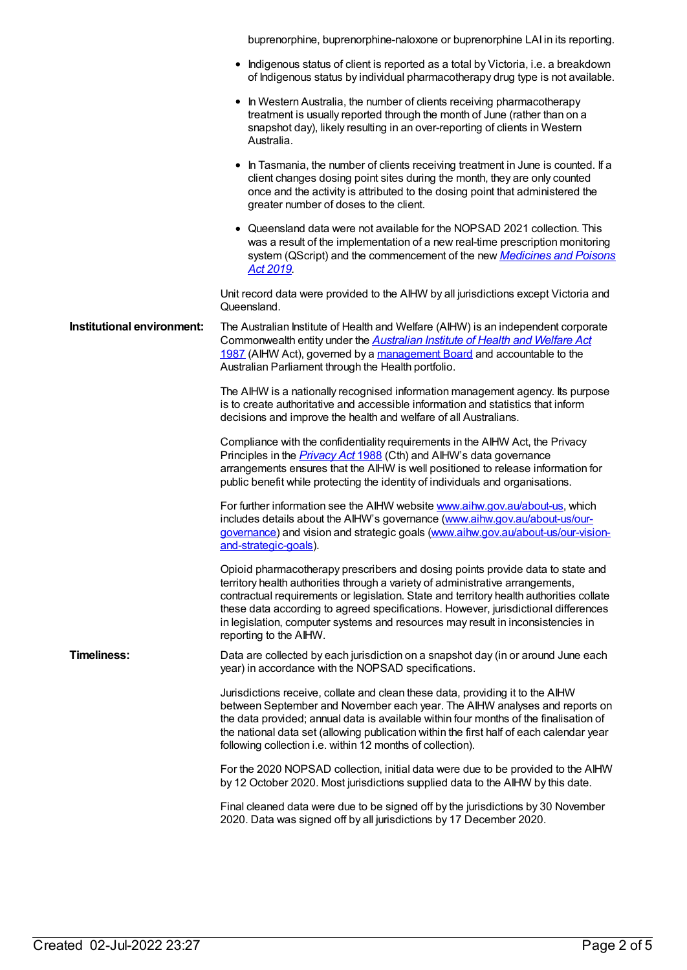buprenorphine, buprenorphine-naloxone or buprenorphine LAI in its reporting.

| • Indigenous status of client is reported as a total by Victoria, i.e. a breakdown |
|------------------------------------------------------------------------------------|
| of Indigenous status by individual pharmacotherapy drug type is not available.     |

| • In Western Australia, the number of clients receiving pharmacotherapy    |
|----------------------------------------------------------------------------|
| treatment is usually reported through the month of June (rather than on a  |
| snapshot day), likely resulting in an over-reporting of clients in Western |
| Australia.                                                                 |

- In Tasmania, the number of clients receiving treatment in June is counted. If a client changes dosing point sites during the month, they are only counted once and the activity is attributed to the dosing point that administered the greater number of doses to the client.
- Queensland data were not available for the NOPSAD 2021 collection. This was a result of the implementation of a new real-time prescription monitoring system (QScript) and the [commencement](https://www.legislation.qld.gov.au/view/html/inforce/current/act-2019-026) of the new *Medicines and Poisons Act 2019.*

Unit record data were provided to the AIHW by all jurisdictions except Victoria and Queensland.

#### **Institutional environment:** The Australian Institute of Health and Welfare (AIHW) is an independent corporate [Commonwealth](http://www.comlaw.gov.au/Series/C2004A03450) entity under the *Australian Institute of Health and Welfare Act* 1987 (AIHW Act), governed by a [management](http://www.aihw.gov.au/aihw-board/) Board and accountable to the Australian Parliament through the Health portfolio.

The AIHW is a nationally recognised information management agency. Its purpose is to create authoritative and accessible information and statistics that inform decisions and improve the health and welfare of all Australians.

Compliance with the confidentiality requirements in the AIHW Act, the Privacy Principles in the *[Privacy](https://www.legislation.gov.au/Details/C2021C00452) Act* 1988 (Cth) and AIHW's data governance arrangements ensures that the AIHW is well positioned to release information for public benefit while protecting the identity of individuals and organisations.

For further information see the AIHW website [www.aihw.gov.au/about-us](https://www.aihw.gov.au/about-us), which includes details about the AIHW's governance [\(www.aihw.gov.au/about-us/our-](https://www.aihw.gov.au/about-us/our-governance)governance) and vision and strategic goals [\(www.aihw.gov.au/about-us/our-vision](https://www.aihw.gov.au/about-us/our-vision-and-strategic-goals)and-strategic-goals).

Opioid pharmacotherapy prescribers and dosing points provide data to state and territory health authorities through a variety of administrative arrangements, contractual requirements or legislation. State and territory health authorities collate these data according to agreed specifications. However, jurisdictional differences in legislation, computer systems and resources may result in inconsistencies in reporting to the AIHW.

**Timeliness:** Data are collected by each jurisdiction on a snapshot day (in or around June each year) in accordance with the NOPSAD specifications.

> Jurisdictions receive, collate and clean these data, providing it to the AIHW between September and November each year. The AIHW analyses and reports on the data provided; annual data is available within four months of the finalisation of the national data set (allowing publication within the first half of each calendar year following collection i.e. within 12 months of collection).

> For the 2020 NOPSAD collection, initial data were due to be provided to the AIHW by 12 October 2020. Most jurisdictions supplied data to the AIHW by this date.

Final cleaned data were due to be signed off by the jurisdictions by 30 November 2020. Data was signed off by all jurisdictions by 17 December 2020.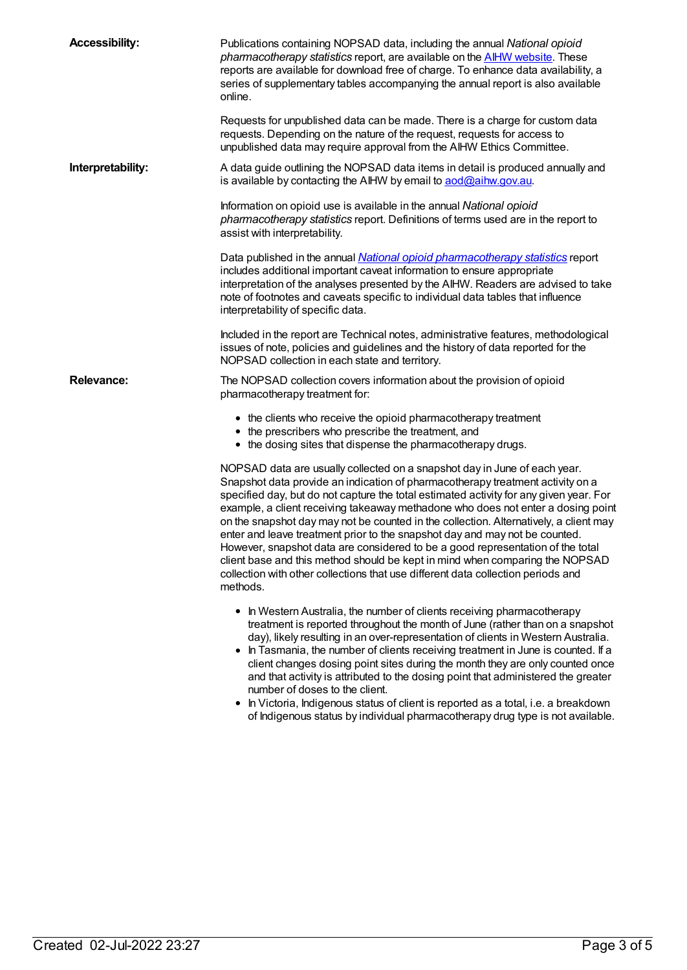| <b>Accessibility:</b> | Publications containing NOPSAD data, including the annual National opioid<br>pharmacotherapy statistics report, are available on the <b>AIHW website</b> . These<br>reports are available for download free of charge. To enhance data availability, a<br>series of supplementary tables accompanying the annual report is also available<br>online.                                                                                                                                                                                                                                                                                                                                                                                                                                |
|-----------------------|-------------------------------------------------------------------------------------------------------------------------------------------------------------------------------------------------------------------------------------------------------------------------------------------------------------------------------------------------------------------------------------------------------------------------------------------------------------------------------------------------------------------------------------------------------------------------------------------------------------------------------------------------------------------------------------------------------------------------------------------------------------------------------------|
|                       | Requests for unpublished data can be made. There is a charge for custom data<br>requests. Depending on the nature of the request, requests for access to<br>unpublished data may require approval from the AIHW Ethics Committee.                                                                                                                                                                                                                                                                                                                                                                                                                                                                                                                                                   |
| Interpretability:     | A data guide outlining the NOPSAD data items in detail is produced annually and<br>is available by contacting the AIHW by email to aod@aihw.gov.au.                                                                                                                                                                                                                                                                                                                                                                                                                                                                                                                                                                                                                                 |
|                       | Information on opioid use is available in the annual National opioid<br>pharmacotherapy statistics report. Definitions of terms used are in the report to<br>assist with interpretability.                                                                                                                                                                                                                                                                                                                                                                                                                                                                                                                                                                                          |
|                       | Data published in the annual <i>National opioid pharmacotherapy statistics</i> report<br>includes additional important caveat information to ensure appropriate<br>interpretation of the analyses presented by the AIHW. Readers are advised to take<br>note of footnotes and caveats specific to individual data tables that influence<br>interpretability of specific data.                                                                                                                                                                                                                                                                                                                                                                                                       |
|                       | Included in the report are Technical notes, administrative features, methodological<br>issues of note, policies and guidelines and the history of data reported for the<br>NOPSAD collection in each state and territory.                                                                                                                                                                                                                                                                                                                                                                                                                                                                                                                                                           |
| <b>Relevance:</b>     | The NOPSAD collection covers information about the provision of opioid<br>pharmacotherapy treatment for:                                                                                                                                                                                                                                                                                                                                                                                                                                                                                                                                                                                                                                                                            |
|                       | • the clients who receive the opioid pharmacotherapy treatment<br>• the prescribers who prescribe the treatment, and<br>• the dosing sites that dispense the pharmacotherapy drugs.                                                                                                                                                                                                                                                                                                                                                                                                                                                                                                                                                                                                 |
|                       | NOPSAD data are usually collected on a snapshot day in June of each year.<br>Snapshot data provide an indication of pharmacotherapy treatment activity on a<br>specified day, but do not capture the total estimated activity for any given year. For<br>example, a client receiving takeaway methadone who does not enter a dosing point<br>on the snapshot day may not be counted in the collection. Alternatively, a client may<br>enter and leave treatment prior to the snapshot day and may not be counted.<br>However, snapshot data are considered to be a good representation of the total<br>client base and this method should be kept in mind when comparing the NOPSAD<br>collection with other collections that use different data collection periods and<br>methods. |
|                       | • In Western Australia, the number of clients receiving pharmacotherapy<br>treatment is reported throughout the month of June (rather than on a snapshot<br>day), likely resulting in an over-representation of clients in Western Australia.<br>In Tasmania, the number of clients receiving treatment in June is counted. If a<br>client changes dosing point sites during the month they are only counted once                                                                                                                                                                                                                                                                                                                                                                   |

- and that activity is attributed to the dosing point that administered the greater number of doses to the client.
- In Victoria, Indigenous status of client is reported as a total, i.e. a breakdown of Indigenous status by individual pharmacotherapy drug type is not available.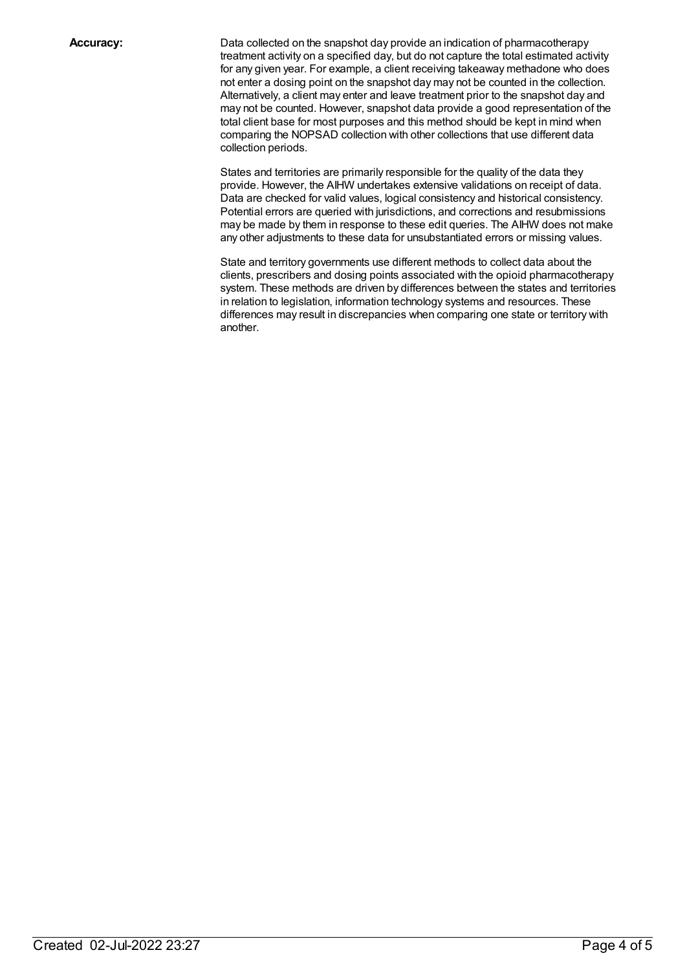**Accuracy:** Data collected on the snapshot day provide an indication of pharmacotherapy treatment activity on a specified day, but do not capture the total estimated activity for any given year. For example, a client receiving takeaway methadone who does not enter a dosing point on the snapshot day may not be counted in the collection. Alternatively, a client may enter and leave treatment prior to the snapshot day and may not be counted. However, snapshot data provide a good representation of the total client base for most purposes and this method should be kept in mind when comparing the NOPSAD collection with other collections that use different data collection periods.

> States and territories are primarily responsible for the quality of the data they provide. However, the AIHW undertakes extensive validations on receipt of data. Data are checked for valid values, logical consistency and historical consistency. Potential errors are queried with jurisdictions, and corrections and resubmissions may be made by them in response to these edit queries. The AIHW does not make any other adjustments to these data for unsubstantiated errors or missing values.

> State and territory governments use different methods to collect data about the clients, prescribers and dosing points associated with the opioid pharmacotherapy system. These methods are driven by differences between the states and territories in relation to legislation, information technology systems and resources. These differences may result in discrepancies when comparing one state or territory with another.